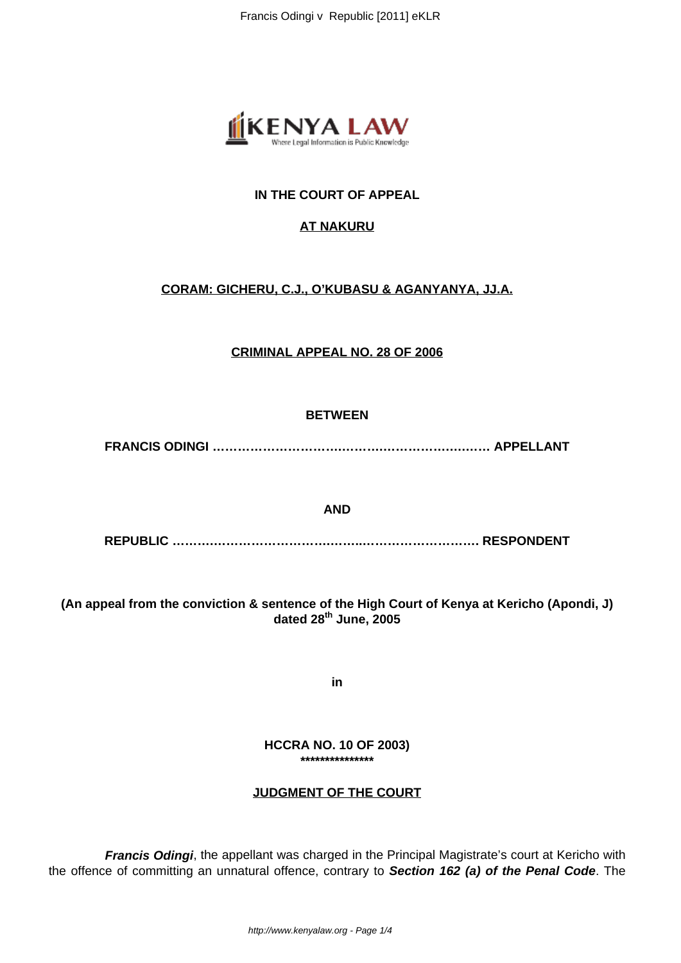

# **IN THE COURT OF APPEAL**

# **AT NAKURU**

# **CORAM: GICHERU, C.J., O'KUBASU & AGANYANYA, JJ.A.**

## **CRIMINAL APPEAL NO. 28 OF 2006**

### **BETWEEN**

**FRANCIS ODINGI ………………………….……….…………….….…… APPELLANT**

### **AND**

**REPUBLIC ……….……………………….……..………………………. RESPONDENT**

**(An appeal from the conviction & sentence of the High Court of Kenya at Kericho (Apondi, J) dated 28th June, 2005**

**in**

**HCCRA NO. 10 OF 2003) \*\*\*\*\*\*\*\*\*\*\*\*\*\*\***

## **JUDGMENT OF THE COURT**

**Francis Odingi**, the appellant was charged in the Principal Magistrate's court at Kericho with the offence of committing an unnatural offence, contrary to **Section 162 (a) of the Penal Code**. The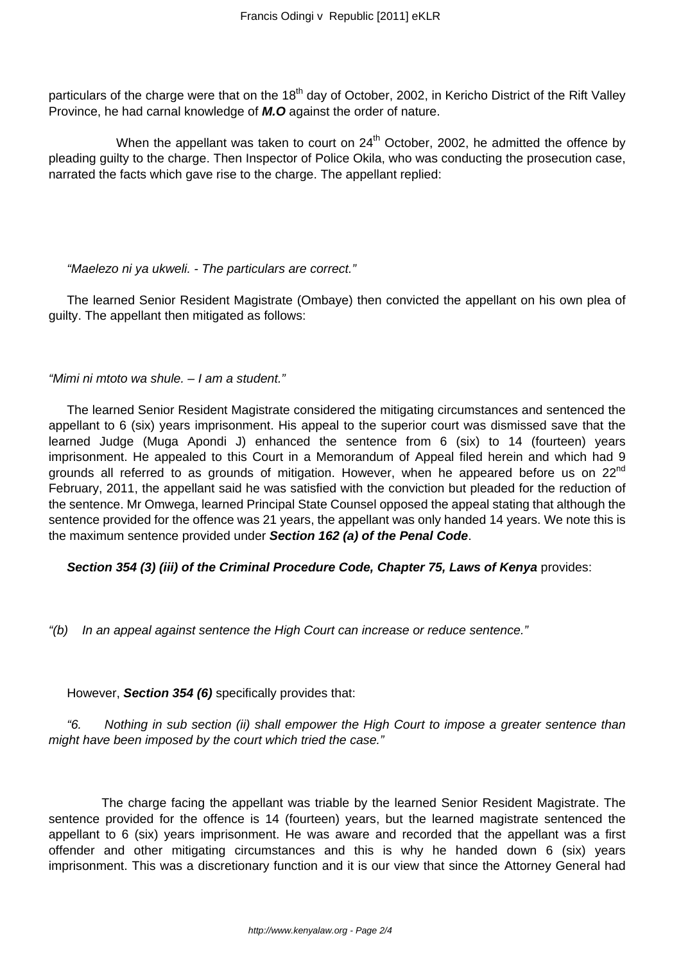particulars of the charge were that on the 18<sup>th</sup> day of October, 2002, in Kericho District of the Rift Valley Province, he had carnal knowledge of **M.O** against the order of nature.

When the appellant was taken to court on  $24<sup>th</sup>$  October, 2002, he admitted the offence by pleading guilty to the charge. Then Inspector of Police Okila, who was conducting the prosecution case, narrated the facts which gave rise to the charge. The appellant replied:

#### "Maelezo ni ya ukweli. - The particulars are correct."

The learned Senior Resident Magistrate (Ombaye) then convicted the appellant on his own plea of guilty. The appellant then mitigated as follows:

"Mimi ni mtoto wa shule. – I am a student."

The learned Senior Resident Magistrate considered the mitigating circumstances and sentenced the appellant to 6 (six) years imprisonment. His appeal to the superior court was dismissed save that the learned Judge (Muga Apondi J) enhanced the sentence from 6 (six) to 14 (fourteen) years imprisonment. He appealed to this Court in a Memorandum of Appeal filed herein and which had 9 grounds all referred to as grounds of mitigation. However, when he appeared before us on 22<sup>nd</sup> February, 2011, the appellant said he was satisfied with the conviction but pleaded for the reduction of the sentence. Mr Omwega, learned Principal State Counsel opposed the appeal stating that although the sentence provided for the offence was 21 years, the appellant was only handed 14 years. We note this is the maximum sentence provided under **Section 162 (a) of the Penal Code**.

**Section 354 (3) (iii) of the Criminal Procedure Code, Chapter 75, Laws of Kenya** provides:

"(b) In an appeal against sentence the High Court can increase or reduce sentence."

However, **Section 354 (6)** specifically provides that:

"6. Nothing in sub section (ii) shall empower the High Court to impose a greater sentence than might have been imposed by the court which tried the case."

 The charge facing the appellant was triable by the learned Senior Resident Magistrate. The sentence provided for the offence is 14 (fourteen) years, but the learned magistrate sentenced the appellant to 6 (six) years imprisonment. He was aware and recorded that the appellant was a first offender and other mitigating circumstances and this is why he handed down 6 (six) years imprisonment. This was a discretionary function and it is our view that since the Attorney General had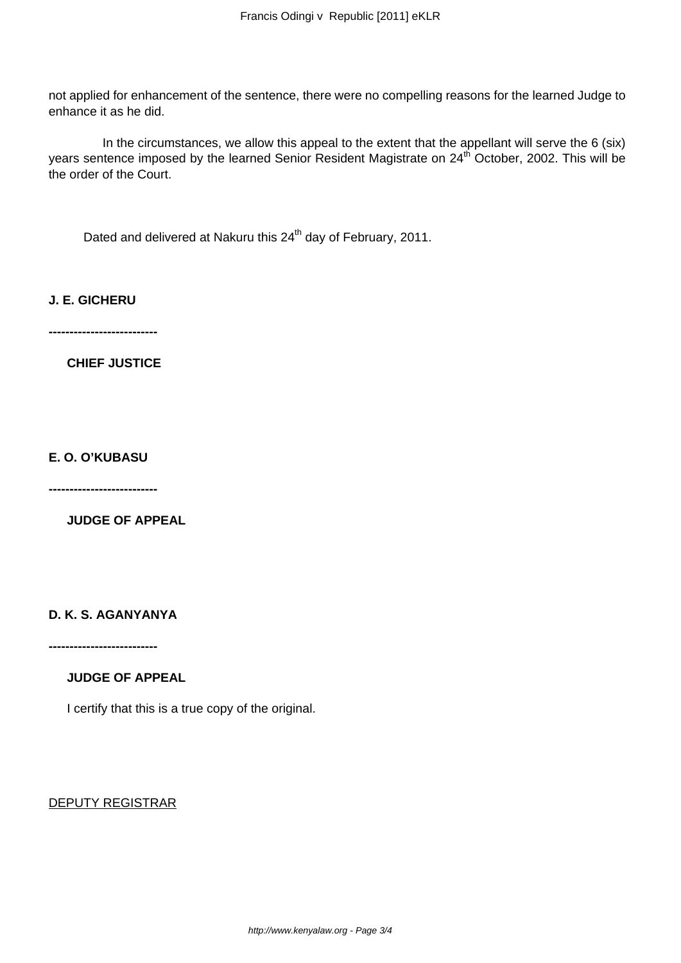not applied for enhancement of the sentence, there were no compelling reasons for the learned Judge to enhance it as he did.

 In the circumstances, we allow this appeal to the extent that the appellant will serve the 6 (six) years sentence imposed by the learned Senior Resident Magistrate on 24<sup>th</sup> October, 2002. This will be the order of the Court.

Dated and delivered at Nakuru this 24<sup>th</sup> day of February, 2011.

**J. E. GICHERU**

**--------------------------**

**CHIEF JUSTICE**

**E. O. O'KUBASU**

**--------------------------**

**JUDGE OF APPEAL**

**D. K. S. AGANYANYA**

**--------------------------**

## **JUDGE OF APPEAL**

I certify that this is a true copy of the original.

DEPUTY REGISTRAR